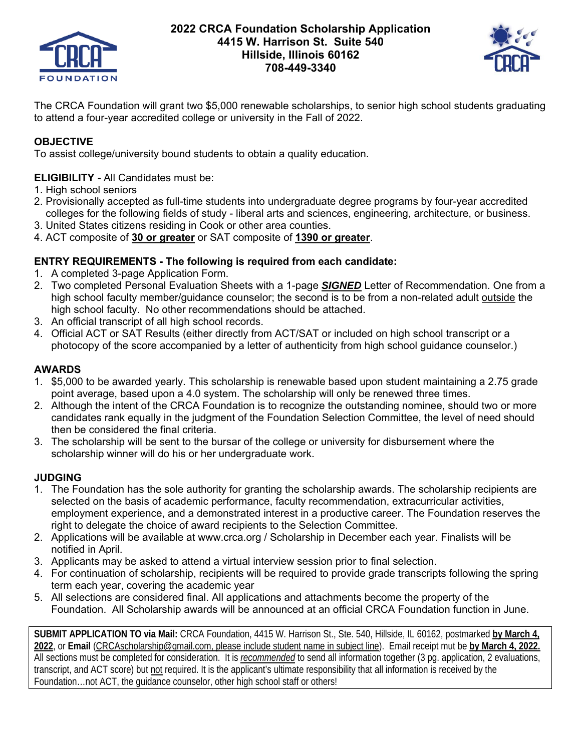

# **2022 CRCA Foundation Scholarship Application 4415 W. Harrison St. Suite 540 Hillside, Illinois 60162 708-449-3340**



The CRCA Foundation will grant two \$5,000 renewable scholarships, to senior high school students graduating to attend a four-year accredited college or university in the Fall of 2022.

# **OBJECTIVE**

To assist college/university bound students to obtain a quality education.

### **ELIGIBILITY -** All Candidates must be:

- 1. High school seniors
- 2. Provisionally accepted as full-time students into undergraduate degree programs by four-year accredited colleges for the following fields of study - liberal arts and sciences, engineering, architecture, or business.
- 3. United States citizens residing in Cook or other area counties.
- 4. ACT composite of **30 or greater** or SAT composite of **1390 or greater**.

### **ENTRY REQUIREMENTS - The following is required from each candidate:**

- 1. A completed 3-page Application Form.
- 2. Two completed Personal Evaluation Sheets with a 1-page *SIGNED* Letter of Recommendation. One from a high school faculty member/guidance counselor; the second is to be from a non-related adult outside the high school faculty. No other recommendations should be attached.
- 3. An official transcript of all high school records.
- 4. Official ACT or SAT Results (either directly from ACT/SAT or included on high school transcript or a photocopy of the score accompanied by a letter of authenticity from high school guidance counselor.)

## **AWARDS**

- 1. \$5,000 to be awarded yearly. This scholarship is renewable based upon student maintaining a 2.75 grade point average, based upon a 4.0 system. The scholarship will only be renewed three times.
- 2. Although the intent of the CRCA Foundation is to recognize the outstanding nominee, should two or more candidates rank equally in the judgment of the Foundation Selection Committee, the level of need should then be considered the final criteria.
- 3. The scholarship will be sent to the bursar of the college or university for disbursement where the scholarship winner will do his or her undergraduate work.

## **JUDGING**

- 1. The Foundation has the sole authority for granting the scholarship awards. The scholarship recipients are selected on the basis of academic performance, faculty recommendation, extracurricular activities, employment experience, and a demonstrated interest in a productive career. The Foundation reserves the right to delegate the choice of award recipients to the Selection Committee.
- 2. Applications will be available at www.crca.org / Scholarship in December each year. Finalists will be notified in April.
- 3. Applicants may be asked to attend a virtual interview session prior to final selection.
- 4. For continuation of scholarship, recipients will be required to provide grade transcripts following the spring term each year, covering the academic year
- 5. All selections are considered final. All applications and attachments become the property of the Foundation. All Scholarship awards will be announced at an official CRCA Foundation function in June.

**SUBMIT APPLICATION TO via Mail:** CRCA Foundation, 4415 W. Harrison St., Ste. 540, Hillside, IL 60162, postmarked **by March 4, 2022**, or **Email** (CRCAscholarship@gmail.com, please include student name in subject line). Email receipt mut be **by March 4, 2022.**  All sections must be completed for consideration. It is *recommended* to send all information together (3 pg. application, 2 evaluations, transcript, and ACT score) but not required. It is the applicant's ultimate responsibility that all information is received by the Foundation…not ACT, the guidance counselor, other high school staff or others!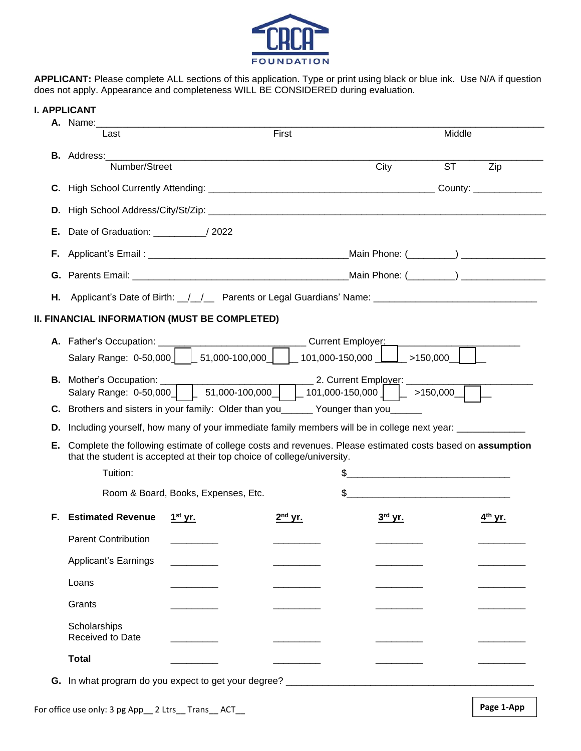

**APPLICANT:** Please complete ALL sections of this application. Type or print using black or blue ink. Use N/A if question does not apply. Appearance and completeness WILL BE CONSIDERED during evaluation.

| I. APPLICANT |  |
|--------------|--|
|--------------|--|

|    | A. Name:                                                                                                                                                                                          |                                     |                                                                         |                                                                                                                      |                     |
|----|---------------------------------------------------------------------------------------------------------------------------------------------------------------------------------------------------|-------------------------------------|-------------------------------------------------------------------------|----------------------------------------------------------------------------------------------------------------------|---------------------|
|    | Last                                                                                                                                                                                              |                                     | First                                                                   |                                                                                                                      | Middle              |
|    |                                                                                                                                                                                                   |                                     |                                                                         |                                                                                                                      |                     |
|    | Number/Street                                                                                                                                                                                     |                                     |                                                                         | City                                                                                                                 | <b>ST</b><br>Zip    |
|    |                                                                                                                                                                                                   |                                     |                                                                         |                                                                                                                      |                     |
| D. |                                                                                                                                                                                                   |                                     |                                                                         |                                                                                                                      |                     |
| Е. | Date of Graduation: _____________/ 2022                                                                                                                                                           |                                     |                                                                         |                                                                                                                      |                     |
| F. |                                                                                                                                                                                                   |                                     |                                                                         |                                                                                                                      |                     |
|    |                                                                                                                                                                                                   |                                     |                                                                         |                                                                                                                      |                     |
|    |                                                                                                                                                                                                   |                                     |                                                                         | <b>H.</b> Applicant's Date of Birth: __/__/___ Parents or Legal Guardians' Name: ___________________________________ |                     |
|    | II. FINANCIAL INFORMATION (MUST BE COMPLETED)                                                                                                                                                     |                                     |                                                                         |                                                                                                                      |                     |
|    | A. Father's Occupation: __________________________________Current Employer: _________                                                                                                             |                                     |                                                                         |                                                                                                                      |                     |
|    |                                                                                                                                                                                                   |                                     |                                                                         | Salary Range: $0.50,000$ $\Big $ $\Big $ 51,000-100,000 $\Big $ $\Big $ 101,000-150,000 $\Big $ >150,000 $\Big $     |                     |
|    | 2. Current Employer:<br><b>B.</b> Mother's Occupation: ____<br>Salary Range: 0-50,000   $\begin{bmatrix} 51,000-100,000 \end{bmatrix}$   101,000-150,000   $\begin{bmatrix} 50,000 \end{bmatrix}$ |                                     |                                                                         |                                                                                                                      |                     |
|    |                                                                                                                                                                                                   |                                     |                                                                         |                                                                                                                      |                     |
|    |                                                                                                                                                                                                   |                                     |                                                                         |                                                                                                                      |                     |
| D. | C. Brothers and sisters in your family: Older than you______ Younger than you____                                                                                                                 |                                     |                                                                         | Including yourself, how many of your immediate family members will be in college next year: _____________            |                     |
| Е. |                                                                                                                                                                                                   |                                     |                                                                         | Complete the following estimate of college costs and revenues. Please estimated costs based on assumption            |                     |
|    |                                                                                                                                                                                                   |                                     | that the student is accepted at their top choice of college/university. |                                                                                                                      |                     |
|    | Tuition:                                                                                                                                                                                          |                                     |                                                                         |                                                                                                                      |                     |
|    |                                                                                                                                                                                                   | Room & Board, Books, Expenses, Etc. |                                                                         | <u> 1986 - Johann John Stone, mensk politik fotograf (d. 1986)</u>                                                   |                     |
| Е. | <b>Estimated Revenue</b>                                                                                                                                                                          | 1 <sup>st</sup> yr.                 | $2nd$ yr.                                                               | $3rd$ yr.                                                                                                            | 4 <sup>th</sup> yr. |
|    | <b>Parent Contribution</b>                                                                                                                                                                        |                                     |                                                                         |                                                                                                                      |                     |
|    | <b>Applicant's Earnings</b>                                                                                                                                                                       |                                     |                                                                         |                                                                                                                      |                     |
|    | Loans                                                                                                                                                                                             |                                     |                                                                         |                                                                                                                      |                     |
|    | Grants                                                                                                                                                                                            |                                     |                                                                         |                                                                                                                      |                     |
|    | Scholarships<br>Received to Date                                                                                                                                                                  |                                     |                                                                         |                                                                                                                      |                     |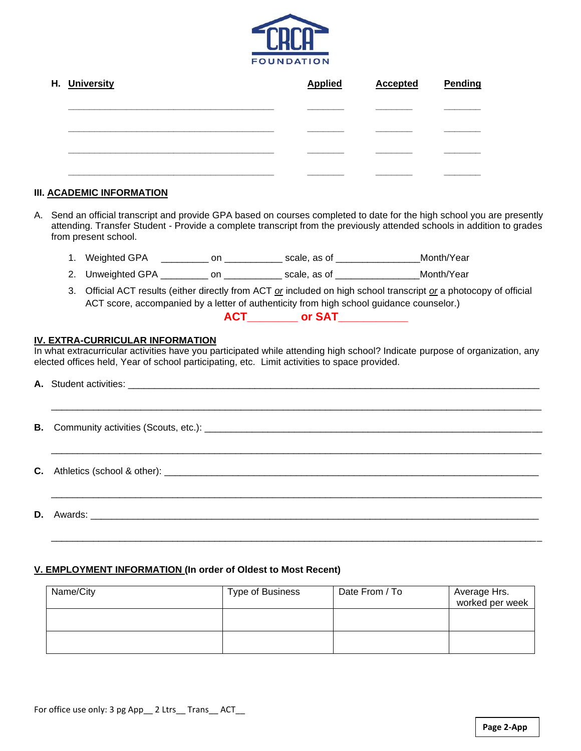

| H. University | <b>Applied</b> | <b>Accepted</b> | <b>Pending</b> |
|---------------|----------------|-----------------|----------------|
|               |                |                 |                |
|               |                |                 |                |
|               |                |                 |                |
|               |                |                 |                |

#### **III. ACADEMIC INFORMATION**

- A. Send an official transcript and provide GPA based on courses completed to date for the high school you are presently attending. Transfer Student - Provide a complete transcript from the previously attended schools in addition to grades from present school.
	- 1. Weighted GPA \_\_\_\_\_\_\_\_\_ on \_\_\_\_\_\_\_\_\_\_\_ scale, as of \_\_\_\_\_\_\_\_\_\_\_\_\_\_\_\_\_ Month/Year
	- 2. Unweighted GPA \_\_\_\_\_\_\_\_\_\_ on \_\_\_\_\_\_\_\_\_\_\_\_\_ scale, as of \_\_\_\_\_\_\_\_\_\_\_\_\_\_\_ Month/Year
	- 3. Official ACT results (either directly from ACT *or* included on high school transcript *or* a photocopy of official ACT score, accompanied by a letter of authenticity from high school guidance counselor.)

**ACT\_\_\_\_\_\_\_\_ or SAT\_\_\_\_\_\_\_\_\_\_\_**

#### **IV. EXTRA-CURRICULAR INFORMATION**

In what extracurricular activities have you participated while attending high school? Indicate purpose of organization, any elected offices held, Year of school participating, etc. Limit activities to space provided.

#### **V. EMPLOYMENT INFORMATION (In order of Oldest to Most Recent)**

| Name/City | Type of Business | Date From / To | Average Hrs.<br>worked per week |
|-----------|------------------|----------------|---------------------------------|
|           |                  |                |                                 |
|           |                  |                |                                 |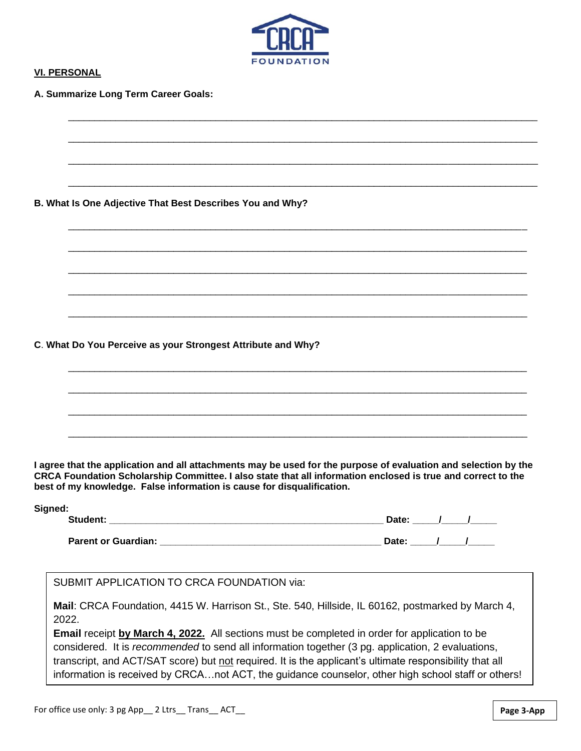

\_\_\_\_\_\_\_\_\_\_\_\_\_\_\_\_\_\_\_\_\_\_\_\_\_\_\_\_\_\_\_\_\_\_\_\_\_\_\_\_\_\_\_\_\_\_\_\_\_\_\_\_\_\_\_\_\_\_\_\_\_\_\_\_\_\_\_\_\_\_\_\_\_\_\_\_\_\_\_\_\_\_\_\_\_\_\_\_\_

\_\_\_\_\_\_\_\_\_\_\_\_\_\_\_\_\_\_\_\_\_\_\_\_\_\_\_\_\_\_\_\_\_\_\_\_\_\_\_\_\_\_\_\_\_\_\_\_\_\_\_\_\_\_\_\_\_\_\_\_\_\_\_\_\_\_\_\_\_\_\_\_\_\_\_\_\_\_\_\_\_\_\_\_\_\_\_\_\_

\_\_\_\_\_\_\_\_\_\_\_\_\_\_\_\_\_\_\_\_\_\_\_\_\_\_\_\_\_\_\_\_\_\_\_\_\_\_\_\_\_\_\_\_\_\_\_\_\_\_\_\_\_\_\_\_\_\_\_\_\_\_\_\_\_\_\_\_\_\_\_\_\_\_\_\_\_\_\_\_\_\_\_\_\_\_\_\_\_

\_\_\_\_\_\_\_\_\_\_\_\_\_\_\_\_\_\_\_\_\_\_\_\_\_\_\_\_\_\_\_\_\_\_\_\_\_\_\_\_\_\_\_\_\_\_\_\_\_\_\_\_\_\_\_\_\_\_\_\_\_\_\_\_\_\_\_\_\_\_\_\_\_\_\_\_\_\_\_\_\_\_\_\_\_\_\_\_\_

\_\_\_\_\_\_\_\_\_\_\_\_\_\_\_\_\_\_\_\_\_\_\_\_\_\_\_\_\_\_\_\_\_\_\_\_\_\_\_\_\_\_\_\_\_\_\_\_\_\_\_\_\_\_\_\_\_\_\_\_\_\_\_\_\_\_\_\_\_\_\_\_\_\_\_\_\_\_\_\_\_\_\_\_\_\_\_

\_\_\_\_\_\_\_\_\_\_\_\_\_\_\_\_\_\_\_\_\_\_\_\_\_\_\_\_\_\_\_\_\_\_\_\_\_\_\_\_\_\_\_\_\_\_\_\_\_\_\_\_\_\_\_\_\_\_\_\_\_\_\_\_\_\_\_\_\_\_\_\_\_\_\_\_\_\_\_\_\_\_\_\_\_\_\_

\_\_\_\_\_\_\_\_\_\_\_\_\_\_\_\_\_\_\_\_\_\_\_\_\_\_\_\_\_\_\_\_\_\_\_\_\_\_\_\_\_\_\_\_\_\_\_\_\_\_\_\_\_\_\_\_\_\_\_\_\_\_\_\_\_\_\_\_\_\_\_\_\_\_\_\_\_\_\_\_\_\_\_\_\_\_\_

\_\_\_\_\_\_\_\_\_\_\_\_\_\_\_\_\_\_\_\_\_\_\_\_\_\_\_\_\_\_\_\_\_\_\_\_\_\_\_\_\_\_\_\_\_\_\_\_\_\_\_\_\_\_\_\_\_\_\_\_\_\_\_\_\_\_\_\_\_\_\_\_\_\_\_\_\_\_\_\_\_\_\_\_\_\_\_

\_\_\_\_\_\_\_\_\_\_\_\_\_\_\_\_\_\_\_\_\_\_\_\_\_\_\_\_\_\_\_\_\_\_\_\_\_\_\_\_\_\_\_\_\_\_\_\_\_\_\_\_\_\_\_\_\_\_\_\_\_\_\_\_\_\_\_\_\_\_\_\_\_\_\_\_\_\_\_\_\_\_\_\_\_\_\_

\_\_\_\_\_\_\_\_\_\_\_\_\_\_\_\_\_\_\_\_\_\_\_\_\_\_\_\_\_\_\_\_\_\_\_\_\_\_\_\_\_\_\_\_\_\_\_\_\_\_\_\_\_\_\_\_\_\_\_\_\_\_\_\_\_\_\_\_\_\_\_\_\_\_\_\_\_\_\_\_\_\_\_\_\_\_\_

\_\_\_\_\_\_\_\_\_\_\_\_\_\_\_\_\_\_\_\_\_\_\_\_\_\_\_\_\_\_\_\_\_\_\_\_\_\_\_\_\_\_\_\_\_\_\_\_\_\_\_\_\_\_\_\_\_\_\_\_\_\_\_\_\_\_\_\_\_\_\_\_\_\_\_\_\_\_\_\_\_\_\_\_\_\_\_

\_\_\_\_\_\_\_\_\_\_\_\_\_\_\_\_\_\_\_\_\_\_\_\_\_\_\_\_\_\_\_\_\_\_\_\_\_\_\_\_\_\_\_\_\_\_\_\_\_\_\_\_\_\_\_\_\_\_\_\_\_\_\_\_\_\_\_\_\_\_\_\_\_\_\_\_\_\_\_\_\_\_\_\_\_\_\_

\_\_\_\_\_\_\_\_\_\_\_\_\_\_\_\_\_\_\_\_\_\_\_\_\_\_\_\_\_\_\_\_\_\_\_\_\_\_\_\_\_\_\_\_\_\_\_\_\_\_\_\_\_\_\_\_\_\_\_\_\_\_\_\_\_\_\_\_\_\_\_\_\_\_\_\_\_\_\_\_\_\_\_\_\_\_\_

#### **VI. PERSONAL**

**A. Summarize Long Term Career Goals:**

**B. What Is One Adjective That Best Describes You and Why?**

**C**. **What Do You Perceive as your Strongest Attribute and Why?**

**I agree that the application and all attachments may be used for the purpose of evaluation and selection by the CRCA Foundation Scholarship Committee. I also state that all information enclosed is true and correct to the best of my knowledge. False information is cause for disqualification.**

| Signed:                    |       |  |
|----------------------------|-------|--|
| Student:                   | Date: |  |
|                            |       |  |
| <b>Parent or Guardian:</b> | Date: |  |

SUBMIT APPLICATION TO CRCA FOUNDATION via:

**Mail**: CRCA Foundation, 4415 W. Harrison St., Ste. 540, Hillside, IL 60162, postmarked by March 4, 2022.

**Email** receipt **by March 4, 2022.** All sections must be completed in order for application to be considered. It is *recommended* to send all information together (3 pg. application, 2 evaluations, transcript, and ACT/SAT score) but not required. It is the applicant's ultimate responsibility that all information is received by CRCA…not ACT, the guidance counselor, other high school staff or others!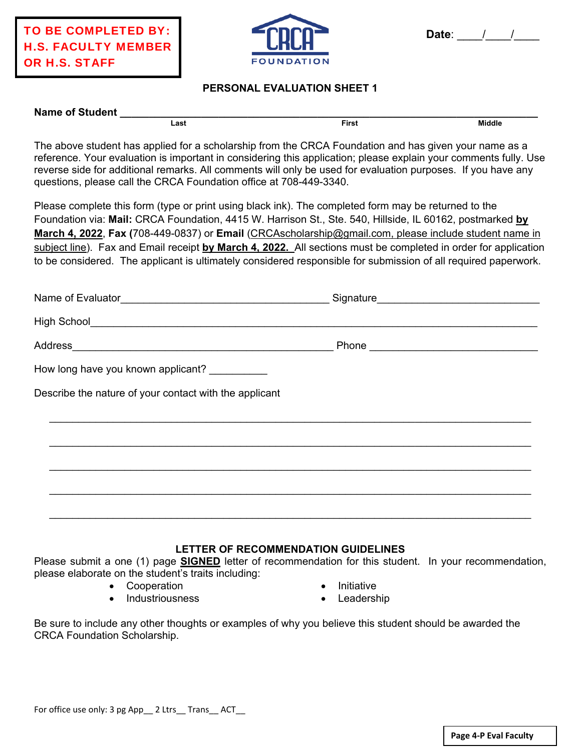

### **PERSONAL EVALUATION SHEET 1**

| <b>Name of Student</b> |      |       |               |
|------------------------|------|-------|---------------|
|                        | Last | ™irst | <b>Middle</b> |
|                        | .    | $ -$  | .             |

The above student has applied for a scholarship from the CRCA Foundation and has given your name as a reference. Your evaluation is important in considering this application; please explain your comments fully. Use reverse side for additional remarks. All comments will only be used for evaluation purposes. If you have any questions, please call the CRCA Foundation office at 708-449-3340.

Please complete this form (type or print using black ink). The completed form may be returned to the Foundation via: **Mail:** CRCA Foundation, 4415 W. Harrison St., Ste. 540, Hillside, IL 60162, postmarked **by March 4, 2022**, **Fax (**708-449-0837) or **Email** (CRCAscholarship@gmail.com, please include student name in subject line). Fax and Email receipt **by March 4, 2022.** All sections must be completed in order for application to be considered. The applicant is ultimately considered responsible for submission of all required paperwork.

|                                                        | Signature___________________________________ |  |
|--------------------------------------------------------|----------------------------------------------|--|
|                                                        |                                              |  |
|                                                        |                                              |  |
| How long have you known applicant? __________          |                                              |  |
| Describe the nature of your contact with the applicant |                                              |  |
|                                                        |                                              |  |
|                                                        |                                              |  |
|                                                        |                                              |  |
|                                                        |                                              |  |
|                                                        |                                              |  |

### **LETTER OF RECOMMENDATION GUIDELINES**

Please submit a one (1) page **SIGNED** letter of recommendation for this student. In your recommendation, please elaborate on the student's traits including:

• Cooperation

Initiative

Industriousness

Leadership

Be sure to include any other thoughts or examples of why you believe this student should be awarded the CRCA Foundation Scholarship.